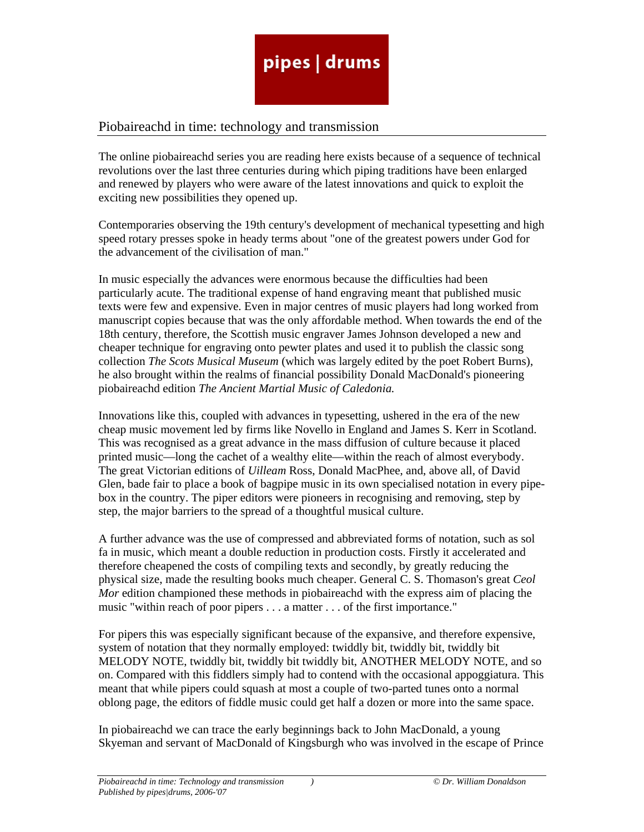#### Piobaireachd in time: technology and transmission

The online piobaireachd series you are reading here exists because of a sequence of technical revolutions over the last three centuries during which piping traditions have been enlarged and renewed by players who were aware of the latest innovations and quick to exploit the exciting new possibilities they opened up.

Contemporaries observing the 19th century's development of mechanical typesetting and high speed rotary presses spoke in heady terms about "one of the greatest powers under God for the advancement of the civilisation of man."

In music especially the advances were enormous because the difficulties had been particularly acute. The traditional expense of hand engraving meant that published music texts were few and expensive. Even in major centres of music players had long worked from manuscript copies because that was the only affordable method. When towards the end of the 18th century, therefore, the Scottish music engraver James Johnson developed a new and cheaper technique for engraving onto pewter plates and used it to publish the classic song collection *The Scots Musical Museum* (which was largely edited by the poet Robert Burns), he also brought within the realms of financial possibility Donald MacDonald's pioneering piobaireachd edition *The Ancient Martial Music of Caledonia.* 

Innovations like this, coupled with advances in typesetting, ushered in the era of the new cheap music movement led by firms like Novello in England and James S. Kerr in Scotland. This was recognised as a great advance in the mass diffusion of culture because it placed printed music—long the cachet of a wealthy elite—within the reach of almost everybody. The great Victorian editions of *Uilleam* Ross, Donald MacPhee, and, above all, of David Glen, bade fair to place a book of bagpipe music in its own specialised notation in every pipebox in the country. The piper editors were pioneers in recognising and removing, step by step, the major barriers to the spread of a thoughtful musical culture.

A further advance was the use of compressed and abbreviated forms of notation, such as sol fa in music, which meant a double reduction in production costs. Firstly it accelerated and therefore cheapened the costs of compiling texts and secondly, by greatly reducing the physical size, made the resulting books much cheaper. General C. S. Thomason's great *Ceol Mor* edition championed these methods in piobaireachd with the express aim of placing the music "within reach of poor pipers . . . a matter . . . of the first importance."

For pipers this was especially significant because of the expansive, and therefore expensive, system of notation that they normally employed: twiddly bit, twiddly bit, twiddly bit MELODY NOTE, twiddly bit, twiddly bit twiddly bit, ANOTHER MELODY NOTE, and so on. Compared with this fiddlers simply had to contend with the occasional appoggiatura. This meant that while pipers could squash at most a couple of two-parted tunes onto a normal oblong page, the editors of fiddle music could get half a dozen or more into the same space.

In piobaireachd we can trace the early beginnings back to John MacDonald, a young Skyeman and servant of MacDonald of Kingsburgh who was involved in the escape of Prince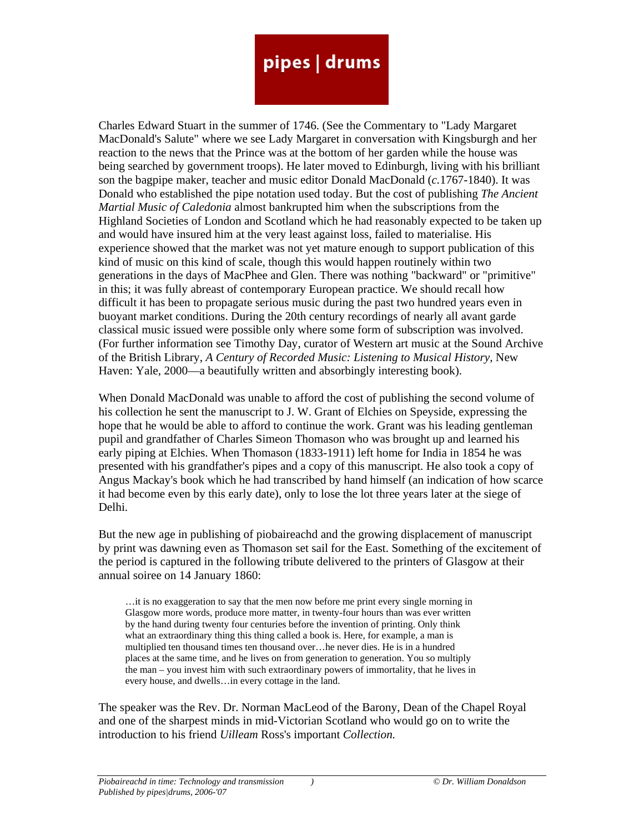Charles Edward Stuart in the summer of 1746. (See the Commentary to "Lady Margaret MacDonald's Salute" where we see Lady Margaret in conversation with Kingsburgh and her reaction to the news that the Prince was at the bottom of her garden while the house was being searched by government troops). He later moved to Edinburgh, living with his brilliant son the bagpipe maker, teacher and music editor Donald MacDonald (*c.*1767-1840). It was Donald who established the pipe notation used today. But the cost of publishing *The Ancient Martial Music of Caledonia* almost bankrupted him when the subscriptions from the Highland Societies of London and Scotland which he had reasonably expected to be taken up and would have insured him at the very least against loss, failed to materialise. His experience showed that the market was not yet mature enough to support publication of this kind of music on this kind of scale, though this would happen routinely within two generations in the days of MacPhee and Glen. There was nothing "backward" or "primitive" in this; it was fully abreast of contemporary European practice. We should recall how difficult it has been to propagate serious music during the past two hundred years even in buoyant market conditions. During the 20th century recordings of nearly all avant garde classical music issued were possible only where some form of subscription was involved. (For further information see Timothy Day, curator of Western art music at the Sound Archive of the British Library, *A Century of Recorded Music: Listening to Musical History,* New Haven: Yale, 2000—a beautifully written and absorbingly interesting book).

When Donald MacDonald was unable to afford the cost of publishing the second volume of his collection he sent the manuscript to J. W. Grant of Elchies on Speyside, expressing the hope that he would be able to afford to continue the work. Grant was his leading gentleman pupil and grandfather of Charles Simeon Thomason who was brought up and learned his early piping at Elchies. When Thomason (1833-1911) left home for India in 1854 he was presented with his grandfather's pipes and a copy of this manuscript. He also took a copy of Angus Mackay's book which he had transcribed by hand himself (an indication of how scarce it had become even by this early date), only to lose the lot three years later at the siege of Delhi.

But the new age in publishing of piobaireachd and the growing displacement of manuscript by print was dawning even as Thomason set sail for the East. Something of the excitement of the period is captured in the following tribute delivered to the printers of Glasgow at their annual soiree on 14 January 1860:

…it is no exaggeration to say that the men now before me print every single morning in Glasgow more words, produce more matter, in twenty-four hours than was ever written by the hand during twenty four centuries before the invention of printing. Only think what an extraordinary thing this thing called a book is. Here, for example, a man is multiplied ten thousand times ten thousand over…he never dies. He is in a hundred places at the same time, and he lives on from generation to generation. You so multiply the man – you invest him with such extraordinary powers of immortality, that he lives in every house, and dwells…in every cottage in the land.

The speaker was the Rev. Dr. Norman MacLeod of the Barony, Dean of the Chapel Royal and one of the sharpest minds in mid-Victorian Scotland who would go on to write the introduction to his friend *Uilleam* Ross's important *Collection.*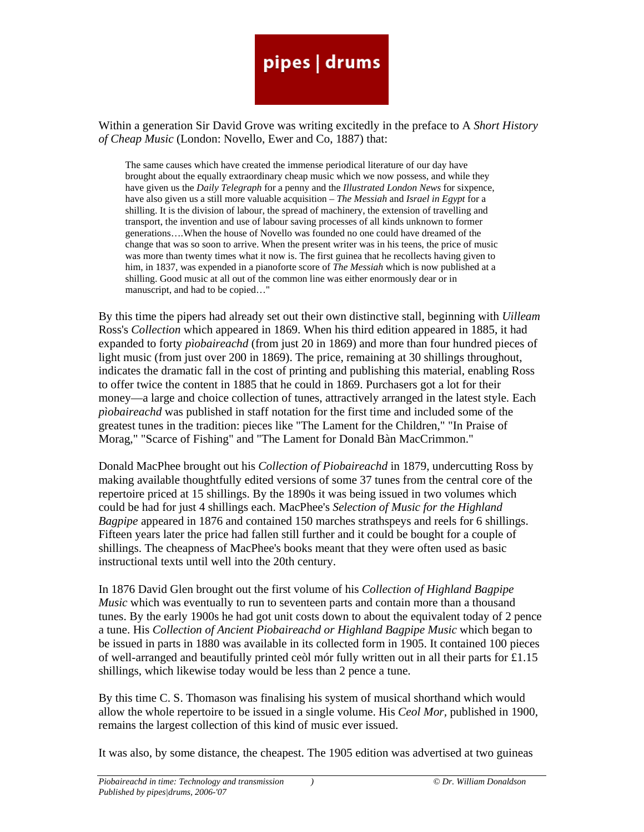Within a generation Sir David Grove was writing excitedly in the preface to A *Short History of Cheap Music* (London: Novello, Ewer and Co, 1887) that:

The same causes which have created the immense periodical literature of our day have brought about the equally extraordinary cheap music which we now possess, and while they have given us the *Daily Telegraph* for a penny and the *Illustrated London News* for sixpence, have also given us a still more valuable acquisition – *The Messiah* and *Israel in Egypt* for a shilling. It is the division of labour, the spread of machinery, the extension of travelling and transport, the invention and use of labour saving processes of all kinds unknown to former generations….When the house of Novello was founded no one could have dreamed of the change that was so soon to arrive. When the present writer was in his teens, the price of music was more than twenty times what it now is. The first guinea that he recollects having given to him, in 1837, was expended in a pianoforte score of *The Messiah* which is now published at a shilling. Good music at all out of the common line was either enormously dear or in manuscript, and had to be copied…"

By this time the pipers had already set out their own distinctive stall, beginning with *Uilleam*  Ross's *Collection* which appeared in 1869. When his third edition appeared in 1885, it had expanded to forty *pìobaireachd* (from just 20 in 1869) and more than four hundred pieces of light music (from just over 200 in 1869). The price, remaining at 30 shillings throughout, indicates the dramatic fall in the cost of printing and publishing this material, enabling Ross to offer twice the content in 1885 that he could in 1869. Purchasers got a lot for their money—a large and choice collection of tunes, attractively arranged in the latest style. Each *pìobaireachd* was published in staff notation for the first time and included some of the greatest tunes in the tradition: pieces like "The Lament for the Children," "In Praise of Morag," "Scarce of Fishing" and "The Lament for Donald Bàn MacCrimmon."

Donald MacPhee brought out his *Collection of Piobaireachd* in 1879, undercutting Ross by making available thoughtfully edited versions of some 37 tunes from the central core of the repertoire priced at 15 shillings. By the 1890s it was being issued in two volumes which could be had for just 4 shillings each. MacPhee's *Selection of Music for the Highland Bagpipe* appeared in 1876 and contained 150 marches strathspeys and reels for 6 shillings. Fifteen years later the price had fallen still further and it could be bought for a couple of shillings. The cheapness of MacPhee's books meant that they were often used as basic instructional texts until well into the 20th century.

In 1876 David Glen brought out the first volume of his *Collection of Highland Bagpipe Music* which was eventually to run to seventeen parts and contain more than a thousand tunes. By the early 1900s he had got unit costs down to about the equivalent today of 2 pence a tune. His *Collection of Ancient Piobaireachd or Highland Bagpipe Music* which began to be issued in parts in 1880 was available in its collected form in 1905. It contained 100 pieces of well-arranged and beautifully printed ceòl mór fully written out in all their parts for £1.15 shillings, which likewise today would be less than 2 pence a tune.

By this time C. S. Thomason was finalising his system of musical shorthand which would allow the whole repertoire to be issued in a single volume. His *Ceol Mor,* published in 1900, remains the largest collection of this kind of music ever issued.

It was also, by some distance, the cheapest. The 1905 edition was advertised at two guineas